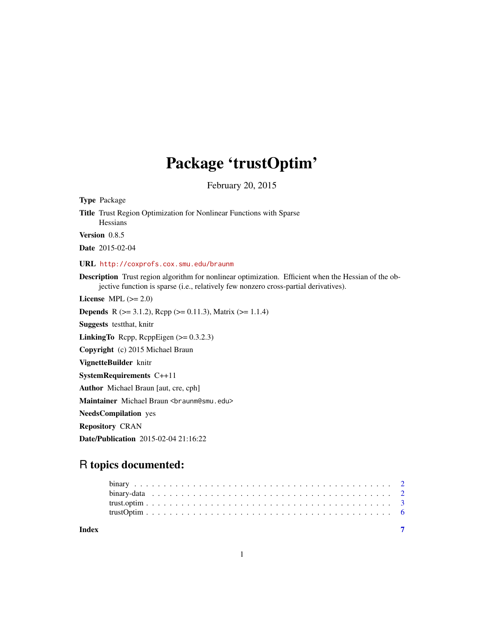## Package 'trustOptim'

February 20, 2015

Type Package Title Trust Region Optimization for Nonlinear Functions with Sparse **Hessians** Version 0.8.5 Date 2015-02-04 URL <http://coxprofs.cox.smu.edu/braunm> Description Trust region algorithm for nonlinear optimization. Efficient when the Hessian of the objective function is sparse (i.e., relatively few nonzero cross-partial derivatives). License MPL  $(>= 2.0)$ **Depends** R ( $>= 3.1.2$ ), Rcpp ( $>= 0.11.3$ ), Matrix ( $>= 1.1.4$ ) Suggests testthat, knitr LinkingTo Rcpp, RcppEigen (>= 0.3.2.3) Copyright (c) 2015 Michael Braun VignetteBuilder knitr SystemRequirements C++11 Author Michael Braun [aut, cre, cph] Maintainer Michael Braun <br />braunm@smu.edu> NeedsCompilation yes Repository CRAN Date/Publication 2015-02-04 21:16:22

### R topics documented:

| Index |  |  |  |  |  |  |  |  |  |  |  |  |  |  |  |  |  |  |  |  |  |
|-------|--|--|--|--|--|--|--|--|--|--|--|--|--|--|--|--|--|--|--|--|--|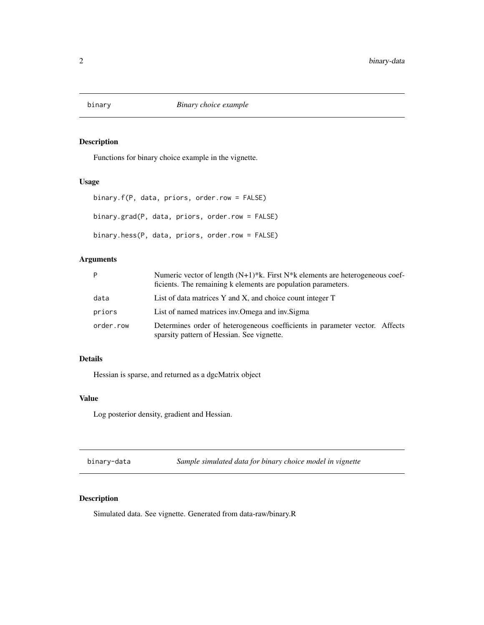<span id="page-1-0"></span>

#### Description

Functions for binary choice example in the vignette.

#### Usage

```
binary.f(P, data, priors, order.row = FALSE)
binary.grad(P, data, priors, order.row = FALSE)
binary.hess(P, data, priors, order.row = FALSE)
```
#### Arguments

| P         | Numeric vector of length $(N+1)*k$ . First $N*k$ elements are heterogeneous coef-<br>ficients. The remaining k elements are population parameters. |
|-----------|----------------------------------------------------------------------------------------------------------------------------------------------------|
| data      | List of data matrices Y and X, and choice count integer T                                                                                          |
| priors    | List of named matrices inv. Omega and inv. Sigma                                                                                                   |
| order.row | Determines order of heterogeneous coefficients in parameter vector. Affects<br>sparsity pattern of Hessian. See vignette.                          |

#### Details

Hessian is sparse, and returned as a dgcMatrix object

#### Value

Log posterior density, gradient and Hessian.

binary-data *Sample simulated data for binary choice model in vignette*

#### Description

Simulated data. See vignette. Generated from data-raw/binary.R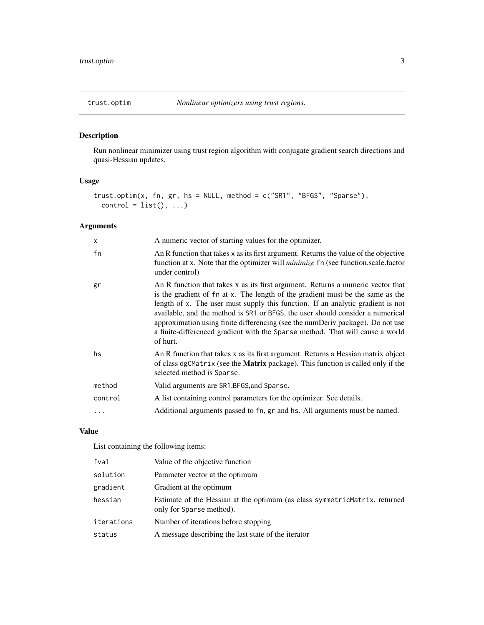<span id="page-2-0"></span>

#### Description

Run nonlinear minimizer using trust region algorithm with conjugate gradient search directions and quasi-Hessian updates.

#### Usage

```
trust.optim(x, fn, gr, hs = NULL, method = c("SR1", "BFGS", "Sparse"),
 control = list(), ...)
```
#### Arguments

| X       | A numeric vector of starting values for the optimizer.                                                                                                                                                                                                                                                                                                                                                                                                                                                                |
|---------|-----------------------------------------------------------------------------------------------------------------------------------------------------------------------------------------------------------------------------------------------------------------------------------------------------------------------------------------------------------------------------------------------------------------------------------------------------------------------------------------------------------------------|
| fn      | An R function that takes x as its first argument. Returns the value of the objective<br>function at x. Note that the optimizer will <i>minimize</i> fn (see function.scale.factor<br>under control)                                                                                                                                                                                                                                                                                                                   |
| gr      | An R function that takes x as its first argument. Returns a numeric vector that<br>is the gradient of fn at x. The length of the gradient must be the same as the<br>length of x. The user must supply this function. If an analytic gradient is not<br>available, and the method is SR1 or BFGS, the user should consider a numerical<br>approximation using finite differencing (see the numDeriv package). Do not use<br>a finite-differenced gradient with the Sparse method. That will cause a world<br>of hurt. |
| hs      | An R function that takes x as its first argument. Returns a Hessian matrix object<br>of class dgCMatrix (see the <b>Matrix</b> package). This function is called only if the<br>selected method is Sparse.                                                                                                                                                                                                                                                                                                            |
| method  | Valid arguments are SR1, BFGS, and Sparse.                                                                                                                                                                                                                                                                                                                                                                                                                                                                            |
| control | A list containing control parameters for the optimizer. See details.                                                                                                                                                                                                                                                                                                                                                                                                                                                  |
| .       | Additional arguments passed to fn, gr and hs. All arguments must be named.                                                                                                                                                                                                                                                                                                                                                                                                                                            |

#### Value

List containing the following items:

| fval       | Value of the objective function                                                                         |
|------------|---------------------------------------------------------------------------------------------------------|
| solution   | Parameter vector at the optimum                                                                         |
| gradient   | Gradient at the optimum                                                                                 |
| hessian    | Estimate of the Hessian at the optimum (as class symmetric Matrix, returned<br>only for Sparse method). |
| iterations | Number of iterations before stopping                                                                    |
| status     | A message describing the last state of the iterator                                                     |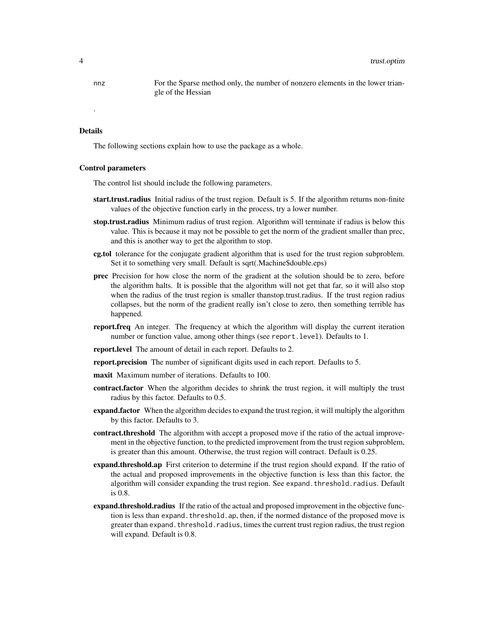nnz For the Sparse method only, the number of nonzero elements in the lower triangle of the Hessian

#### Details

.

The following sections explain how to use the package as a whole.

#### Control parameters

The control list should include the following parameters.

- start.trust.radius Initial radius of the trust region. Default is 5. If the algorithm returns non-finite values of the objective function early in the process, try a lower number.
- stop.trust.radius Minimum radius of trust region. Algorithm will terminate if radius is below this value. This is because it may not be possible to get the norm of the gradient smaller than prec, and this is another way to get the algorithm to stop.
- **cg.tol** tolerance for the conjugate gradient algorithm that is used for the trust region subproblem. Set it to something very small. Default is sqrt(.Machine\$double.eps)
- prec Precision for how close the norm of the gradient at the solution should be to zero, before the algorithm halts. It is possible that the algorithm will not get that far, so it will also stop when the radius of the trust region is smaller thanstop.trust.radius. If the trust region radius collapses, but the norm of the gradient really isn't close to zero, then something terrible has happened.
- **report.freq** An integer. The frequency at which the algorithm will display the current iteration number or function value, among other things (see report.level). Defaults to 1.
- report.level The amount of detail in each report. Defaults to 2.
- **report.precision** The number of significant digits used in each report. Defaults to 5.
- maxit Maximum number of iterations. Defaults to 100.
- contract.factor When the algorithm decides to shrink the trust region, it will multiply the trust radius by this factor. Defaults to 0.5.
- expand.factor When the algorithm decides to expand the trust region, it will multiply the algorithm by this factor. Defaults to 3.
- contract.threshold The algorithm with accept a proposed move if the ratio of the actual improvement in the objective function, to the predicted improvement from the trust region subproblem, is greater than this amount. Otherwise, the trust region will contract. Default is 0.25.
- expand.threshold.ap First criterion to determine if the trust region should expand. If the ratio of the actual and proposed improvements in the objective function is less than this factor, the algorithm will consider expanding the trust region. See expand.threshold.radius. Default is 0.8.
- **expand.threshold.radius** If the ratio of the actual and proposed improvement in the objective function is less than expand. threshold. ap, then, if the normed distance of the proposed move is greater than expand. threshold. radius, times the current trust region radius, the trust region will expand. Default is 0.8.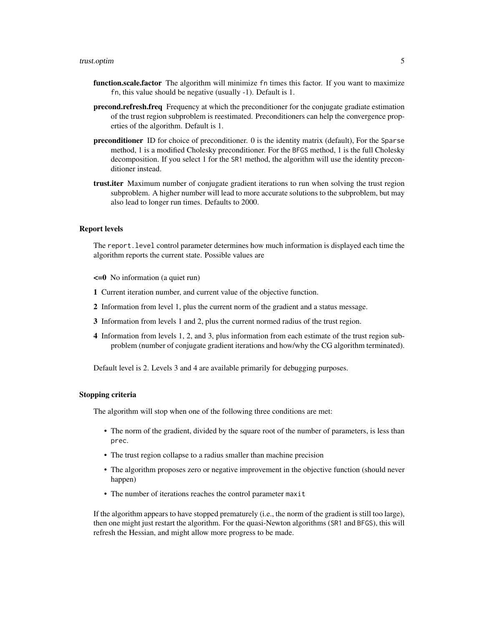#### trust.optim 5

- function.scale.factor The algorithm will minimize fn times this factor. If you want to maximize fn, this value should be negative (usually -1). Default is 1.
- **precond.refresh.freq** Frequency at which the preconditioner for the conjugate gradiate estimation of the trust region subproblem is reestimated. Preconditioners can help the convergence properties of the algorithm. Default is 1.
- preconditioner ID for choice of preconditioner. 0 is the identity matrix (default), For the Sparse method, 1 is a modified Cholesky preconditioner. For the BFGS method, 1 is the full Cholesky decomposition. If you select 1 for the SR1 method, the algorithm will use the identity preconditioner instead.
- **trust.iter** Maximum number of conjugate gradient iterations to run when solving the trust region subproblem. A higher number will lead to more accurate solutions to the subproblem, but may also lead to longer run times. Defaults to 2000.

#### Report levels

The report.level control parameter determines how much information is displayed each time the algorithm reports the current state. Possible values are

- <=0 No information (a quiet run)
- 1 Current iteration number, and current value of the objective function.
- 2 Information from level 1, plus the current norm of the gradient and a status message.
- 3 Information from levels 1 and 2, plus the current normed radius of the trust region.
- 4 Information from levels 1, 2, and 3, plus information from each estimate of the trust region subproblem (number of conjugate gradient iterations and how/why the CG algorithm terminated).

Default level is 2. Levels 3 and 4 are available primarily for debugging purposes.

#### Stopping criteria

The algorithm will stop when one of the following three conditions are met:

- The norm of the gradient, divided by the square root of the number of parameters, is less than prec.
- The trust region collapse to a radius smaller than machine precision
- The algorithm proposes zero or negative improvement in the objective function (should never happen)
- The number of iterations reaches the control parameter maxit

If the algorithm appears to have stopped prematurely (i.e., the norm of the gradient is still too large), then one might just restart the algorithm. For the quasi-Newton algorithms (SR1 and BFGS), this will refresh the Hessian, and might allow more progress to be made.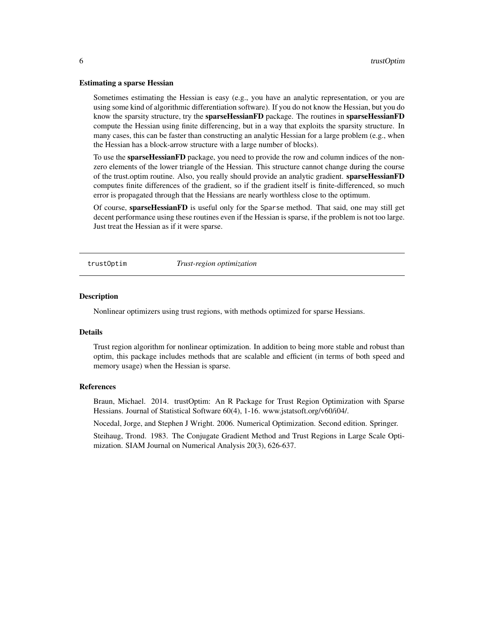#### <span id="page-5-0"></span>Estimating a sparse Hessian

Sometimes estimating the Hessian is easy (e.g., you have an analytic representation, or you are using some kind of algorithmic differentiation software). If you do not know the Hessian, but you do know the sparsity structure, try the **sparseHessianFD** package. The routines in **sparseHessianFD** compute the Hessian using finite differencing, but in a way that exploits the sparsity structure. In many cases, this can be faster than constructing an analytic Hessian for a large problem (e.g., when the Hessian has a block-arrow structure with a large number of blocks).

To use the **sparseHessianFD** package, you need to provide the row and column indices of the nonzero elements of the lower triangle of the Hessian. This structure cannot change during the course of the trust.optim routine. Also, you really should provide an analytic gradient. **sparseHessianFD** computes finite differences of the gradient, so if the gradient itself is finite-differenced, so much error is propagated through that the Hessians are nearly worthless close to the optimum.

Of course, sparseHessianFD is useful only for the Sparse method. That said, one may still get decent performance using these routines even if the Hessian is sparse, if the problem is not too large. Just treat the Hessian as if it were sparse.

trustOptim *Trust-region optimization*

#### **Description**

Nonlinear optimizers using trust regions, with methods optimized for sparse Hessians.

#### Details

Trust region algorithm for nonlinear optimization. In addition to being more stable and robust than optim, this package includes methods that are scalable and efficient (in terms of both speed and memory usage) when the Hessian is sparse.

#### References

Braun, Michael. 2014. trustOptim: An R Package for Trust Region Optimization with Sparse Hessians. Journal of Statistical Software 60(4), 1-16. www.jstatsoft.org/v60/i04/.

Nocedal, Jorge, and Stephen J Wright. 2006. Numerical Optimization. Second edition. Springer.

Steihaug, Trond. 1983. The Conjugate Gradient Method and Trust Regions in Large Scale Optimization. SIAM Journal on Numerical Analysis 20(3), 626-637.